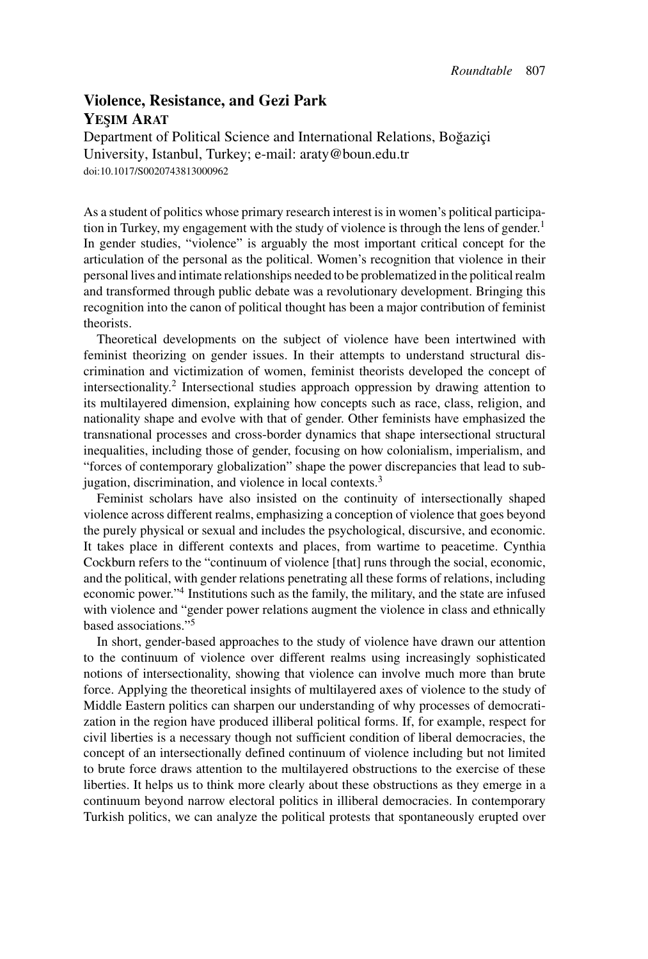## **Violence, Resistance, and Gezi Park YES¸IM ARAT**

Department of Political Science and International Relations, Boğaziçi University, Istanbul, Turkey; e-mail: araty@boun.edu.tr doi:10.1017/S0020743813000962

As a student of politics whose primary research interest is in women's political participation in Turkey, my engagement with the study of violence is through the lens of gender.<sup>1</sup> In gender studies, "violence" is arguably the most important critical concept for the articulation of the personal as the political. Women's recognition that violence in their personal lives and intimate relationships needed to be problematized in the political realm and transformed through public debate was a revolutionary development. Bringing this recognition into the canon of political thought has been a major contribution of feminist theorists.

Theoretical developments on the subject of violence have been intertwined with feminist theorizing on gender issues. In their attempts to understand structural discrimination and victimization of women, feminist theorists developed the concept of intersectionality.2 Intersectional studies approach oppression by drawing attention to its multilayered dimension, explaining how concepts such as race, class, religion, and nationality shape and evolve with that of gender. Other feminists have emphasized the transnational processes and cross-border dynamics that shape intersectional structural inequalities, including those of gender, focusing on how colonialism, imperialism, and "forces of contemporary globalization" shape the power discrepancies that lead to subjugation, discrimination, and violence in local contexts.<sup>3</sup>

Feminist scholars have also insisted on the continuity of intersectionally shaped violence across different realms, emphasizing a conception of violence that goes beyond the purely physical or sexual and includes the psychological, discursive, and economic. It takes place in different contexts and places, from wartime to peacetime. Cynthia Cockburn refers to the "continuum of violence [that] runs through the social, economic, and the political, with gender relations penetrating all these forms of relations, including economic power."4 Institutions such as the family, the military, and the state are infused with violence and "gender power relations augment the violence in class and ethnically based associations."5

In short, gender-based approaches to the study of violence have drawn our attention to the continuum of violence over different realms using increasingly sophisticated notions of intersectionality, showing that violence can involve much more than brute force. Applying the theoretical insights of multilayered axes of violence to the study of Middle Eastern politics can sharpen our understanding of why processes of democratization in the region have produced illiberal political forms. If, for example, respect for civil liberties is a necessary though not sufficient condition of liberal democracies, the concept of an intersectionally defined continuum of violence including but not limited to brute force draws attention to the multilayered obstructions to the exercise of these liberties. It helps us to think more clearly about these obstructions as they emerge in a continuum beyond narrow electoral politics in illiberal democracies. In contemporary Turkish politics, we can analyze the political protests that spontaneously erupted over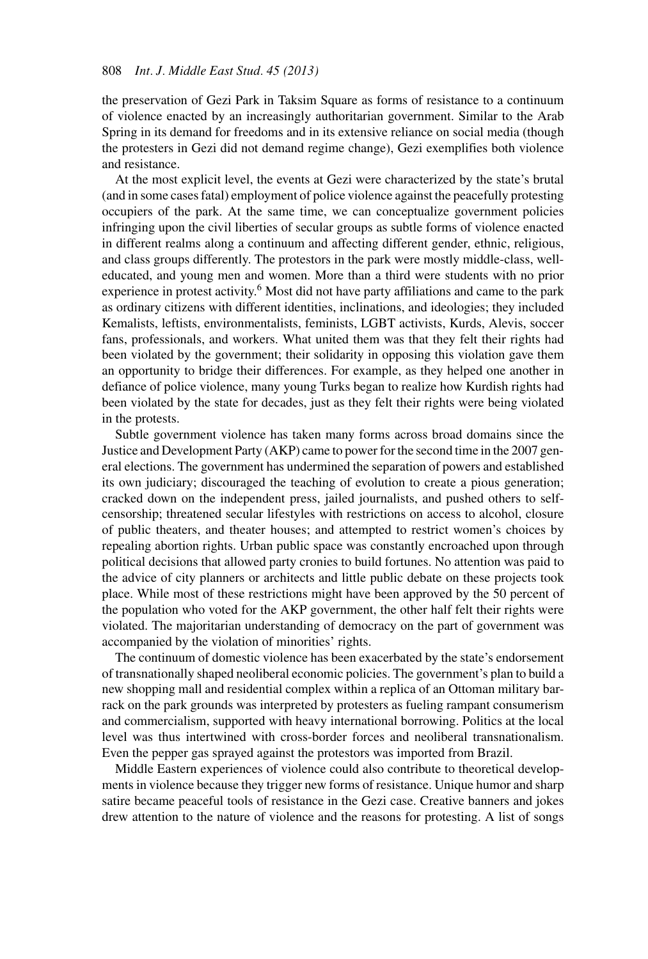the preservation of Gezi Park in Taksim Square as forms of resistance to a continuum of violence enacted by an increasingly authoritarian government. Similar to the Arab Spring in its demand for freedoms and in its extensive reliance on social media (though the protesters in Gezi did not demand regime change), Gezi exemplifies both violence and resistance.

At the most explicit level, the events at Gezi were characterized by the state's brutal (and in some cases fatal) employment of police violence against the peacefully protesting occupiers of the park. At the same time, we can conceptualize government policies infringing upon the civil liberties of secular groups as subtle forms of violence enacted in different realms along a continuum and affecting different gender, ethnic, religious, and class groups differently. The protestors in the park were mostly middle-class, welleducated, and young men and women. More than a third were students with no prior experience in protest activity.<sup>6</sup> Most did not have party affiliations and came to the park as ordinary citizens with different identities, inclinations, and ideologies; they included Kemalists, leftists, environmentalists, feminists, LGBT activists, Kurds, Alevis, soccer fans, professionals, and workers. What united them was that they felt their rights had been violated by the government; their solidarity in opposing this violation gave them an opportunity to bridge their differences. For example, as they helped one another in defiance of police violence, many young Turks began to realize how Kurdish rights had been violated by the state for decades, just as they felt their rights were being violated in the protests.

Subtle government violence has taken many forms across broad domains since the Justice and Development Party (AKP) came to power for the second time in the 2007 general elections. The government has undermined the separation of powers and established its own judiciary; discouraged the teaching of evolution to create a pious generation; cracked down on the independent press, jailed journalists, and pushed others to selfcensorship; threatened secular lifestyles with restrictions on access to alcohol, closure of public theaters, and theater houses; and attempted to restrict women's choices by repealing abortion rights. Urban public space was constantly encroached upon through political decisions that allowed party cronies to build fortunes. No attention was paid to the advice of city planners or architects and little public debate on these projects took place. While most of these restrictions might have been approved by the 50 percent of the population who voted for the AKP government, the other half felt their rights were violated. The majoritarian understanding of democracy on the part of government was accompanied by the violation of minorities' rights.

The continuum of domestic violence has been exacerbated by the state's endorsement of transnationally shaped neoliberal economic policies. The government's plan to build a new shopping mall and residential complex within a replica of an Ottoman military barrack on the park grounds was interpreted by protesters as fueling rampant consumerism and commercialism, supported with heavy international borrowing. Politics at the local level was thus intertwined with cross-border forces and neoliberal transnationalism. Even the pepper gas sprayed against the protestors was imported from Brazil.

Middle Eastern experiences of violence could also contribute to theoretical developments in violence because they trigger new forms of resistance. Unique humor and sharp satire became peaceful tools of resistance in the Gezi case. Creative banners and jokes drew attention to the nature of violence and the reasons for protesting. A list of songs